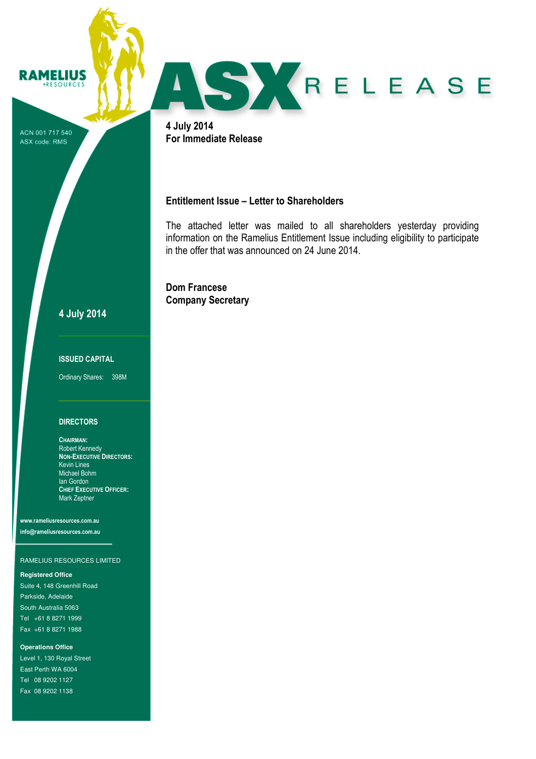ACN 001 717 540 ASX code: RMS

**RAMELIUS** RESOURCES



4 July 2014 For Immediate Release

# Entitlement Issue – Letter to Shareholders

The attached letter was mailed to all shareholders yesterday providing information on the Ramelius Entitlement Issue including eligibility to participate in the offer that was announced on 24 June 2014.

Dom Francese Company Secretary

4 July 2014

### ISSUED CAPITAL

Ordinary Shares: 398M

## **DIRECTORS**

CHAIRMAN: Robert Kennedy NON-EXECUTIVE DIRECTORS: Kevin Lines Michael Bohm Ian Gordon CHIEF EXECUTIVE OFFICER: Mark Zeptner

www.rameliusresources.com.au info@rameliusresources.com.au

### RAMELIUS RESOURCES LIMITED

#### **Registered Office**

Suite 4, 148 Greenhill Road Parkside, Adelaide South Australia 5063 Tel +61 8 8271 1999 Fax +61 8 8271 1988

#### **Operations Office**

Level 1, 130 Royal Street East Perth WA 6004 Tel 08 9202 1127 Fax 08 9202 1138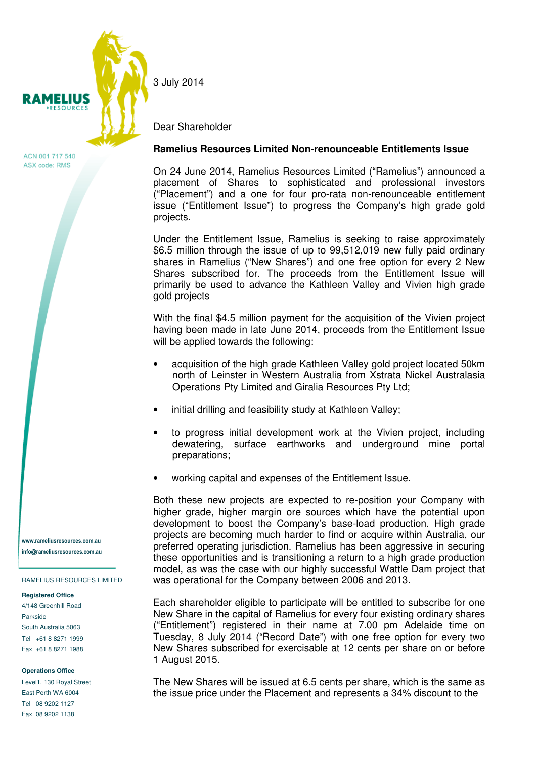

ACN 001 717 540 ASX code: RMS

www.rameliusresources.com.au info@rameliusresources.com.au

RAMELIUS RESOURCES LIMITED

#### **Registered Office**

4/148 Greenhill Road Parkside South Australia 5063 Tel +61 8 8271 1999 Fax +61 8 8271 1988

#### **Operations Office**

Level1, 130 Royal Street East Perth WA 6004 Tel 08 9202 1127 Fax 08 9202 1138

3 July 2014

Dear Shareholder

### **Ramelius Resources Limited Non-renounceable Entitlements Issue**

On 24 June 2014, Ramelius Resources Limited ("Ramelius") announced a placement of Shares to sophisticated and professional investors ("Placement") and a one for four pro-rata non-renounceable entitlement issue ("Entitlement Issue") to progress the Company's high grade gold projects.

Under the Entitlement Issue, Ramelius is seeking to raise approximately \$6.5 million through the issue of up to 99,512,019 new fully paid ordinary shares in Ramelius ("New Shares") and one free option for every 2 New Shares subscribed for. The proceeds from the Entitlement Issue will primarily be used to advance the Kathleen Valley and Vivien high grade gold projects

With the final \$4.5 million payment for the acquisition of the Vivien project having been made in late June 2014, proceeds from the Entitlement Issue will be applied towards the following:

- acquisition of the high grade Kathleen Valley gold project located 50km north of Leinster in Western Australia from Xstrata Nickel Australasia Operations Pty Limited and Giralia Resources Pty Ltd;
- initial drilling and feasibility study at Kathleen Valley;
- to progress initial development work at the Vivien project, including dewatering, surface earthworks and underground mine portal preparations;
- working capital and expenses of the Entitlement Issue.

Both these new projects are expected to re-position your Company with higher grade, higher margin ore sources which have the potential upon development to boost the Company's base-load production. High grade projects are becoming much harder to find or acquire within Australia, our preferred operating jurisdiction. Ramelius has been aggressive in securing these opportunities and is transitioning a return to a high grade production model, as was the case with our highly successful Wattle Dam project that was operational for the Company between 2006 and 2013.

Each shareholder eligible to participate will be entitled to subscribe for one New Share in the capital of Ramelius for every four existing ordinary shares ("Entitlement") registered in their name at 7.00 pm Adelaide time on Tuesday, 8 July 2014 ("Record Date") with one free option for every two New Shares subscribed for exercisable at 12 cents per share on or before 1 August 2015.

The New Shares will be issued at 6.5 cents per share, which is the same as the issue price under the Placement and represents a 34% discount to the